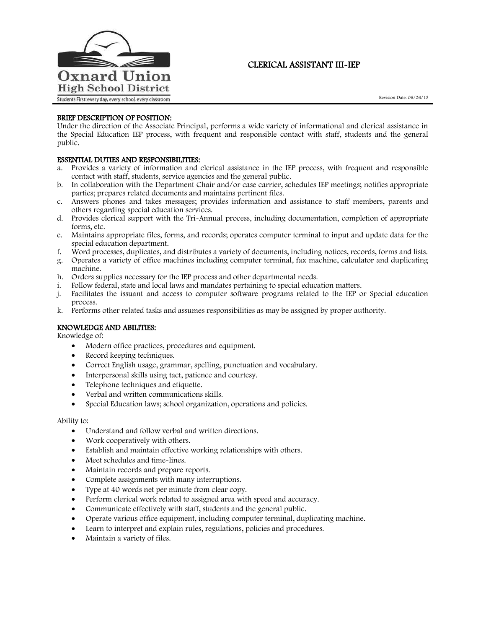

# CLERICAL ASSISTANT III-IEP

## BRIEF DESCRIPTION OF POSITION:

Under the direction of the Associate Principal, performs a wide variety of informational and clerical assistance in the Special Education IEP process, with frequent and responsible contact with staff, students and the general public.

## ESSENTIAL DUTIES AND RESPONSIBILITIES:

- a. Provides a variety of information and clerical assistance in the IEP process, with frequent and responsible contact with staff, students, service agencies and the general public.
- b. In collaboration with the Department Chair and/or case carrier, schedules IEP meetings; notifies appropriate parties; prepares related documents and maintains pertinent files.
- c. Answers phones and takes messages; provides information and assistance to staff members, parents and others regarding special education services.
- d. Provides clerical support with the Tri-Annual process, including documentation, completion of appropriate forms, etc.
- e. Maintains appropriate files, forms, and records; operates computer terminal to input and update data for the special education department.
- f. Word processes, duplicates, and distributes a variety of documents, including notices, records, forms and lists.
- g. Operates a variety of office machines including computer terminal, fax machine, calculator and duplicating machine.
- h. Orders supplies necessary for the IEP process and other departmental needs.
- i. Follow federal, state and local laws and mandates pertaining to special education matters.
- j. Facilitates the issuant and access to computer software programs related to the IEP or Special education process.
- k. Performs other related tasks and assumes responsibilities as may be assigned by proper authority.

## KNOWLEDGE AND ABILITIES:

Knowledge of:

- Modern office practices, procedures and equipment.
- Record keeping techniques.
- Correct English usage, grammar, spelling, punctuation and vocabulary.
- Interpersonal skills using tact, patience and courtesy.
- Telephone techniques and etiquette.
- Verbal and written communications skills.
- Special Education laws; school organization, operations and policies.

#### Ability to:

- Understand and follow verbal and written directions.
- Work cooperatively with others.
- Establish and maintain effective working relationships with others.
- Meet schedules and time-lines.
- Maintain records and prepare reports.
- Complete assignments with many interruptions.
- Type at 40 words net per minute from clear copy.
- Perform clerical work related to assigned area with speed and accuracy.
- Communicate effectively with staff, students and the general public.
- Operate various office equipment, including computer terminal, duplicating machine.
- Learn to interpret and explain rules, regulations, policies and procedures.
- Maintain a variety of files.